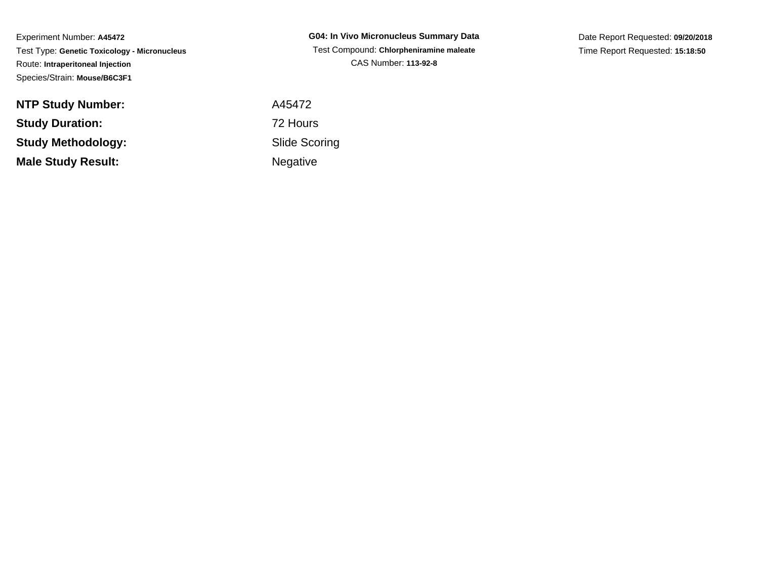**NTP Study Number:Study Duration:Study Methodology:Male Study Result:**

**G04: In Vivo Micronucleus Summary Data** Test Compound: **Chlorpheniramine maleate**CAS Number: **113-92-8**

Date Report Requested: **09/20/2018**Time Report Requested: **15:18:50**

 A45472 72 Hours Slide ScoringNegative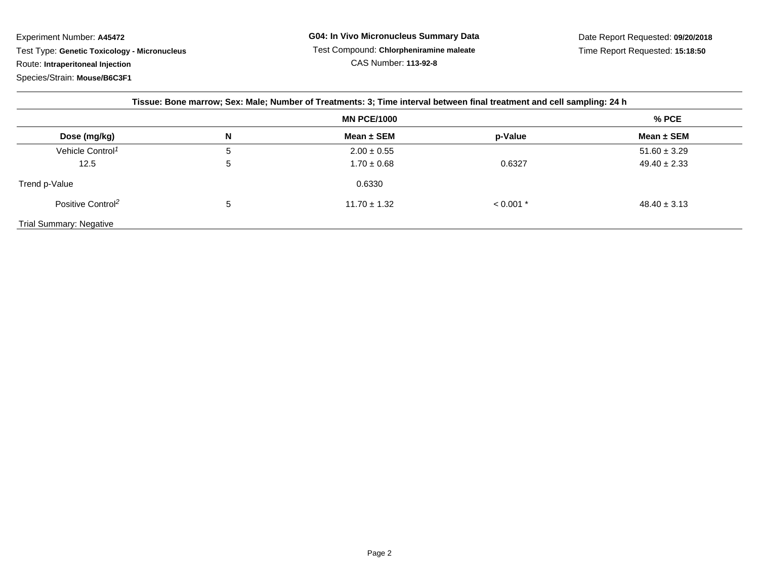| Tissue: Bone marrow; Sex: Male; Number of Treatments: 3; Time interval between final treatment and cell sampling: 24 h |                    |                  |             |                  |  |  |
|------------------------------------------------------------------------------------------------------------------------|--------------------|------------------|-------------|------------------|--|--|
|                                                                                                                        | <b>MN PCE/1000</b> |                  |             | $%$ PCE          |  |  |
| Dose (mg/kg)                                                                                                           | N                  | Mean $\pm$ SEM   | p-Value     | Mean $\pm$ SEM   |  |  |
| Vehicle Control <sup>1</sup>                                                                                           | b                  | $2.00 \pm 0.55$  |             | $51.60 \pm 3.29$ |  |  |
| 12.5                                                                                                                   | G                  | $1.70 \pm 0.68$  | 0.6327      | $49.40 \pm 2.33$ |  |  |
| Trend p-Value                                                                                                          |                    | 0.6330           |             |                  |  |  |
| Positive Control <sup>2</sup>                                                                                          | b                  | $11.70 \pm 1.32$ | $< 0.001$ * | $48.40 \pm 3.13$ |  |  |
| <b>Trial Summary: Negative</b>                                                                                         |                    |                  |             |                  |  |  |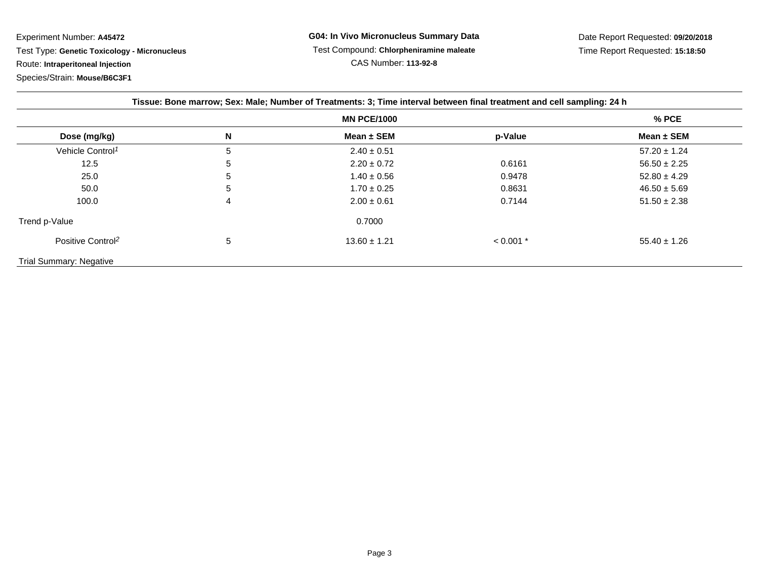| Tissue: Bone marrow; Sex: Male; Number of Treatments: 3; Time interval between final treatment and cell sampling: 24 h |   |                    |             |                  |  |  |
|------------------------------------------------------------------------------------------------------------------------|---|--------------------|-------------|------------------|--|--|
|                                                                                                                        |   | <b>MN PCE/1000</b> |             | $%$ PCE          |  |  |
| Dose (mg/kg)                                                                                                           | N | Mean $\pm$ SEM     | p-Value     | Mean $\pm$ SEM   |  |  |
| Vehicle Control <sup>1</sup>                                                                                           | 5 | $2.40 \pm 0.51$    |             | $57.20 \pm 1.24$ |  |  |
| 12.5                                                                                                                   | 5 | $2.20 \pm 0.72$    | 0.6161      | $56.50 \pm 2.25$ |  |  |
| 25.0                                                                                                                   | 5 | $1.40 \pm 0.56$    | 0.9478      | $52.80 \pm 4.29$ |  |  |
| 50.0                                                                                                                   | 5 | $1.70 \pm 0.25$    | 0.8631      | $46.50 \pm 5.69$ |  |  |
| 100.0                                                                                                                  | 4 | $2.00 \pm 0.61$    | 0.7144      | $51.50 \pm 2.38$ |  |  |
| Trend p-Value                                                                                                          |   | 0.7000             |             |                  |  |  |
| Positive Control <sup>2</sup>                                                                                          | 5 | $13.60 \pm 1.21$   | $< 0.001$ * | $55.40 \pm 1.26$ |  |  |
| <b>Trial Summary: Negative</b>                                                                                         |   |                    |             |                  |  |  |